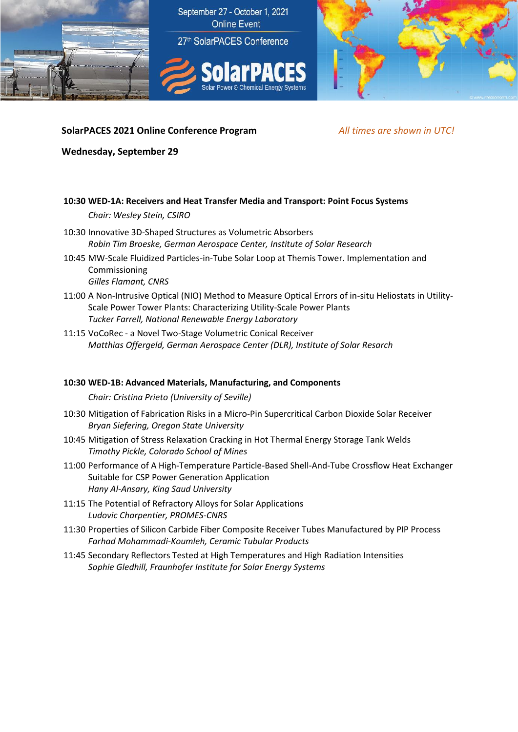

## **SolarPACES 2021 Online Conference Program** *All times are shown in UTC!*

**Wednesday, September 29**

### **10:30 WED-1A: Receivers and Heat Transfer Media and Transport: Point Focus Systems**

*Chair: Wesley Stein, CSIRO*

- 10:30 Innovative 3D-Shaped Structures as Volumetric Absorbers *Robin Tim Broeske, German Aerospace Center, Institute of Solar Research*
- 10:45 MW-Scale Fluidized Particles-in-Tube Solar Loop at Themis Tower. Implementation and Commissioning *Gilles Flamant, CNRS*
- 11:00 A Non-Intrusive Optical (NIO) Method to Measure Optical Errors of in-situ Heliostats in Utility-Scale Power Tower Plants: Characterizing Utility-Scale Power Plants *Tucker Farrell, National Renewable Energy Laboratory*
- 11:15 VoCoRec a Novel Two-Stage Volumetric Conical Receiver *Matthias Offergeld, German Aerospace Center (DLR), Institute of Solar Resarch*

### **10:30 WED-1B: Advanced Materials, Manufacturing, and Components**

*Chair: Cristina Prieto (University of Seville)*

- 10:30 Mitigation of Fabrication Risks in a Micro-Pin Supercritical Carbon Dioxide Solar Receiver *Bryan Siefering, Oregon State University*
- 10:45 Mitigation of Stress Relaxation Cracking in Hot Thermal Energy Storage Tank Welds *Timothy Pickle, Colorado School of Mines*
- 11:00 Performance of A High-Temperature Particle-Based Shell-And-Tube Crossflow Heat Exchanger Suitable for CSP Power Generation Application *Hany Al-Ansary, King Saud University*
- 11:15 The Potential of Refractory Alloys for Solar Applications *Ludovic Charpentier, PROMES-CNRS*
- 11:30 Properties of Silicon Carbide Fiber Composite Receiver Tubes Manufactured by PIP Process *Farhad Mohammadi-Koumleh, Ceramic Tubular Products*
- 11:45 Secondary Reflectors Tested at High Temperatures and High Radiation Intensities *Sophie Gledhill, Fraunhofer Institute for Solar Energy Systems*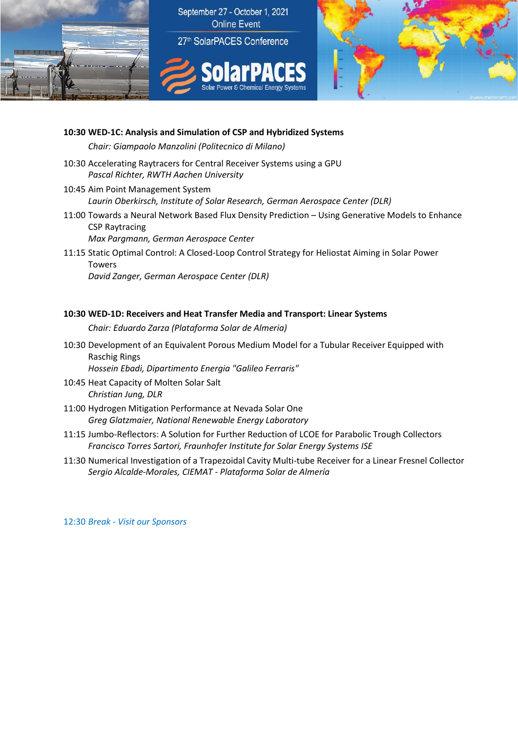

## **10:30 WED-1C: Analysis and Simulation of CSP and Hybridized Systems**

*Chair: Giampaolo Manzolini (Politecnico di Milano)*

- 10:30 Accelerating Raytracers for Central Receiver Systems using a GPU *Pascal Richter, RWTH Aachen University*
- 10:45 Aim Point Management System *Laurin Oberkirsch, Institute of Solar Research, German Aerospace Center (DLR)*
- 11:00 Towards a Neural Network Based Flux Density Prediction Using Generative Models to Enhance CSP Raytracing *Max Pargmann, German Aerospace Center*
- 11:15 Static Optimal Control: A Closed-Loop Control Strategy for Heliostat Aiming in Solar Power Towers *David Zanger, German Aerospace Center (DLR)*

### **10:30 WED-1D: Receivers and Heat Transfer Media and Transport: Linear Systems**

*Chair: Eduardo Zarza (Plataforma Solar de Almeria)*

10:30 Development of an Equivalent Porous Medium Model for a Tubular Receiver Equipped with Raschig Rings

*Hossein Ebadi, Dipartimento Energia "Galileo Ferraris"*

- 10:45 Heat Capacity of Molten Solar Salt *Christian Jung, DLR*
- 11:00 Hydrogen Mitigation Performance at Nevada Solar One *Greg Glatzmaier, National Renewable Energy Laboratory*
- 11:15 Jumbo-Reflectors: A Solution for Further Reduction of LCOE for Parabolic Trough Collectors *Francisco Torres Sartori, Fraunhofer Institute for Solar Energy Systems ISE*
- 11:30 Numerical Investigation of a Trapezoidal Cavity Multi-tube Receiver for a Linear Fresnel Collector *Sergio Alcalde-Morales, CIEMAT - Plataforma Solar de Almería*

12:30 *Break - Visit our Sponsors*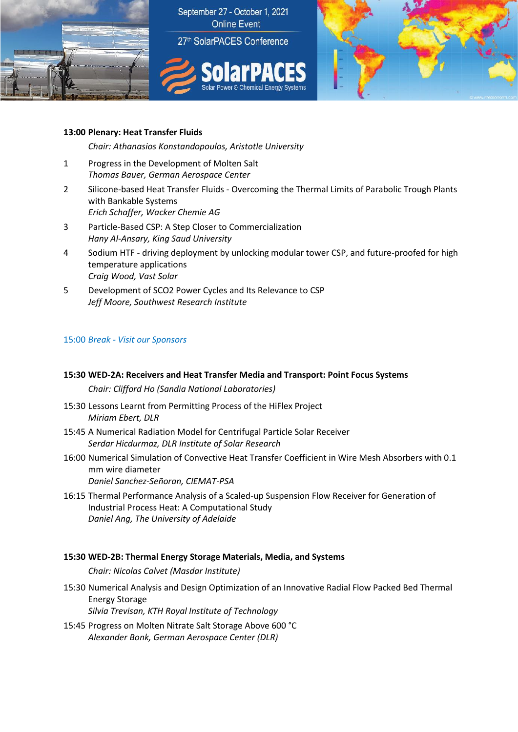



## **13:00 Plenary: Heat Transfer Fluids**

*Chair: Athanasios Konstandopoulos, Aristotle University*

- 1 Progress in the Development of Molten Salt *Thomas Bauer, German Aerospace Center*
- 2 Silicone-based Heat Transfer Fluids Overcoming the Thermal Limits of Parabolic Trough Plants with Bankable Systems *Erich Schaffer, Wacker Chemie AG*
- 3 Particle-Based CSP: A Step Closer to Commercialization *Hany Al-Ansary, King Saud University*
- 4 Sodium HTF driving deployment by unlocking modular tower CSP, and future-proofed for high temperature applications *Craig Wood, Vast Solar*
- 5 Development of SCO2 Power Cycles and Its Relevance to CSP *Jeff Moore, Southwest Research Institute*

### 15:00 *Break - Visit our Sponsors*

# **15:30 WED-2A: Receivers and Heat Transfer Media and Transport: Point Focus Systems**

*Chair: Clifford Ho (Sandia National Laboratories)*

- 15:30 Lessons Learnt from Permitting Process of the HiFlex Project *Miriam Ebert, DLR*
- 15:45 A Numerical Radiation Model for Centrifugal Particle Solar Receiver *Serdar Hicdurmaz, DLR Institute of Solar Research*
- 16:00 Numerical Simulation of Convective Heat Transfer Coefficient in Wire Mesh Absorbers with 0.1 mm wire diameter *Daniel Sanchez-Señoran, CIEMAT-PSA*
- 16:15 Thermal Performance Analysis of a Scaled-up Suspension Flow Receiver for Generation of Industrial Process Heat: A Computational Study *Daniel Ang, The University of Adelaide*

### **15:30 WED-2B: Thermal Energy Storage Materials, Media, and Systems**

*Chair: Nicolas Calvet (Masdar Institute)*

15:30 Numerical Analysis and Design Optimization of an Innovative Radial Flow Packed Bed Thermal Energy Storage

*Silvia Trevisan, KTH Royal Institute of Technology*

15:45 Progress on Molten Nitrate Salt Storage Above 600 °C *Alexander Bonk, German Aerospace Center (DLR)*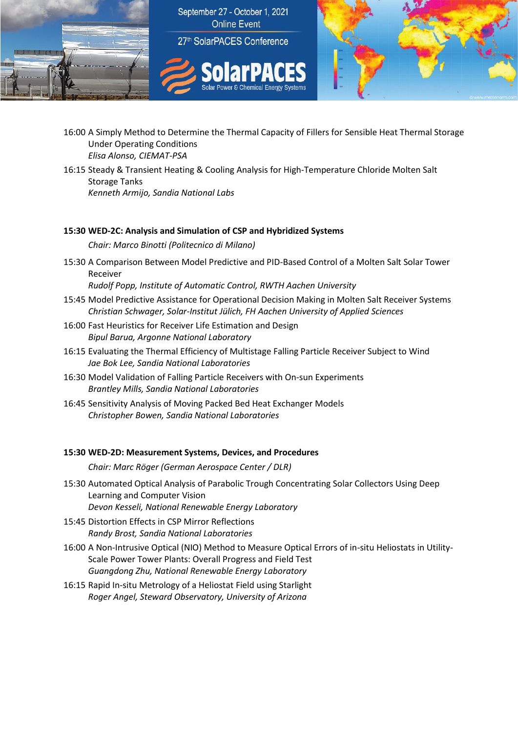

- 16:00 A Simply Method to Determine the Thermal Capacity of Fillers for Sensible Heat Thermal Storage Under Operating Conditions *Elisa Alonso, CIEMAT-PSA*
- 16:15 Steady & Transient Heating & Cooling Analysis for High-Temperature Chloride Molten Salt Storage Tanks *Kenneth Armijo, Sandia National Labs*

### **15:30 WED-2C: Analysis and Simulation of CSP and Hybridized Systems**

*Chair: Marco Binotti (Politecnico di Milano)*

15:30 A Comparison Between Model Predictive and PID-Based Control of a Molten Salt Solar Tower Receiver

*Rudolf Popp, Institute of Automatic Control, RWTH Aachen University*

- 15:45 Model Predictive Assistance for Operational Decision Making in Molten Salt Receiver Systems *Christian Schwager, Solar-Institut Jülich, FH Aachen University of Applied Sciences*
- 16:00 Fast Heuristics for Receiver Life Estimation and Design *Bipul Barua, Argonne National Laboratory*
- 16:15 Evaluating the Thermal Efficiency of Multistage Falling Particle Receiver Subject to Wind *Jae Bok Lee, Sandia National Laboratories*
- 16:30 Model Validation of Falling Particle Receivers with On-sun Experiments *Brantley Mills, Sandia National Laboratories*
- 16:45 Sensitivity Analysis of Moving Packed Bed Heat Exchanger Models *Christopher Bowen, Sandia National Laboratories*

#### **15:30 WED-2D: Measurement Systems, Devices, and Procedures**

*Chair: Marc Röger (German Aerospace Center / DLR)*

- 15:30 Automated Optical Analysis of Parabolic Trough Concentrating Solar Collectors Using Deep Learning and Computer Vision *Devon Kesseli, National Renewable Energy Laboratory*
- 15:45 Distortion Effects in CSP Mirror Reflections *Randy Brost, Sandia National Laboratories*
- 16:00 A Non-Intrusive Optical (NIO) Method to Measure Optical Errors of in-situ Heliostats in Utility-Scale Power Tower Plants: Overall Progress and Field Test *Guangdong Zhu, National Renewable Energy Laboratory*
- 16:15 Rapid In-situ Metrology of a Heliostat Field using Starlight *Roger Angel, Steward Observatory, University of Arizona*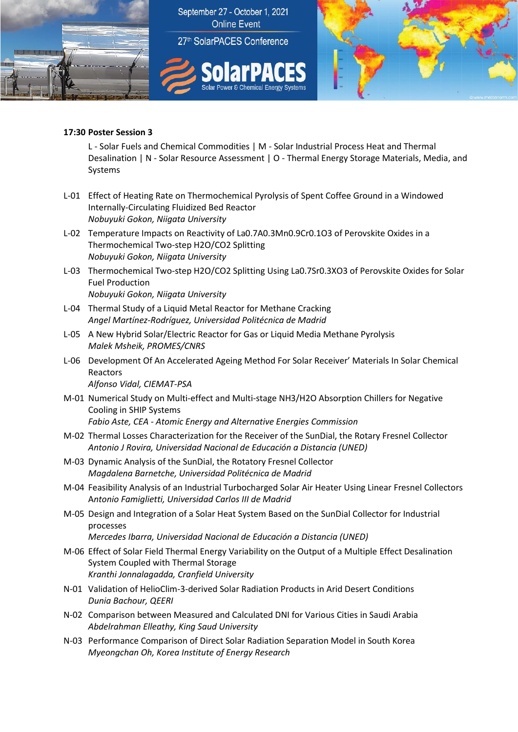

### **17:30 Poster Session 3**

L - Solar Fuels and Chemical Commodities | M - Solar Industrial Process Heat and Thermal Desalination | N - Solar Resource Assessment | O - Thermal Energy Storage Materials, Media, and Systems

- L-01 Effect of Heating Rate on Thermochemical Pyrolysis of Spent Coffee Ground in a Windowed Internally-Circulating Fluidized Bed Reactor *Nobuyuki Gokon, Niigata University*
- L-02 Temperature Impacts on Reactivity of La0.7A0.3Mn0.9Cr0.1O3 of Perovskite Oxides in a Thermochemical Two-step H2O/CO2 Splitting *Nobuyuki Gokon, Niigata University*
- L-03 Thermochemical Two-step H2O/CO2 Splitting Using La0.7Sr0.3XO3 of Perovskite Oxides for Solar Fuel Production *Nobuyuki Gokon, Niigata University*
- L-04 Thermal Study of a Liquid Metal Reactor for Methane Cracking *Angel Martínez-Rodríguez, Universidad Politécnica de Madrid*
- L-05 A New Hybrid Solar/Electric Reactor for Gas or Liquid Media Methane Pyrolysis *Malek Msheik, PROMES/CNRS*
- L-06 Development Of An Accelerated Ageing Method For Solar Receiver' Materials In Solar Chemical Reactors

*Alfonso Vidal, CIEMAT-PSA*

- M-01 Numerical Study on Multi-effect and Multi-stage NH3/H2O Absorption Chillers for Negative Cooling in SHIP Systems *Fabio Aste, CEA - Atomic Energy and Alternative Energies Commission*
- M-02 Thermal Losses Characterization for the Receiver of the SunDial, the Rotary Fresnel Collector *Antonio J Rovira, Universidad Nacional de Educación a Distancia (UNED)*
- M-03 Dynamic Analysis of the SunDial, the Rotatory Fresnel Collector *Magdalena Barnetche, Universidad Politécnica de Madrid*
- M-04 Feasibility Analysis of an Industrial Turbocharged Solar Air Heater Using Linear Fresnel Collectors A*ntonio Famiglietti, Universidad Carlos III de Madrid*
- M-05 Design and Integration of a Solar Heat System Based on the SunDial Collector for Industrial processes

*Mercedes Ibarra, Universidad Nacional de Educación a Distancia (UNED)*

- M-06 Effect of Solar Field Thermal Energy Variability on the Output of a Multiple Effect Desalination System Coupled with Thermal Storage *Kranthi Jonnalagadda, Cranfield University*
- N-01 Validation of HelioClim-3-derived Solar Radiation Products in Arid Desert Conditions *Dunia Bachour, QEERI*
- N-02 Comparison between Measured and Calculated DNI for Various Cities in Saudi Arabia *Abdelrahman Elleathy, King Saud University*
- N-03 Performance Comparison of Direct Solar Radiation Separation Model in South Korea *Myeongchan Oh, Korea Institute of Energy Research*